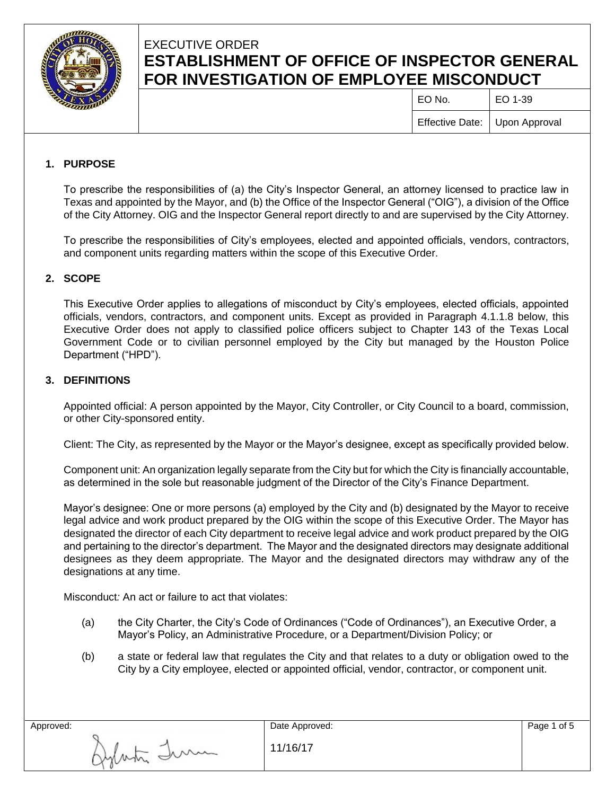

# EXECUTIVE ORDER **ESTABLISHMENT OF OFFICE OF INSPECTOR GENERAL FOR INVESTIGATION OF EMPLOYEE MISCONDUCT**

 $E$ O No.  $\qquad$   $E$ O 1-39 Effective Date: Upon Approval

## **1. PURPOSE**

To prescribe the responsibilities of (a) the City's Inspector General, an attorney licensed to practice law in Texas and appointed by the Mayor, and (b) the Office of the Inspector General ("OIG"), a division of the Office of the City Attorney. OIG and the Inspector General report directly to and are supervised by the City Attorney.

To prescribe the responsibilities of City's employees, elected and appointed officials, vendors, contractors, and component units regarding matters within the scope of this Executive Order.

## **2. SCOPE**

This Executive Order applies to allegations of misconduct by City's employees, elected officials, appointed officials, vendors, contractors, and component units. Except as provided in Paragraph 4.1.1.8 below, this Executive Order does not apply to classified police officers subject to Chapter 143 of the Texas Local Government Code or to civilian personnel employed by the City but managed by the Houston Police Department ("HPD").

### **3. DEFINITIONS**

Appointed official: A person appointed by the Mayor, City Controller, or City Council to a board, commission, or other City-sponsored entity.

Client: The City, as represented by the Mayor or the Mayor's designee, except as specifically provided below.

Component unit: An organization legally separate from the City but for which the City is financially accountable, as determined in the sole but reasonable judgment of the Director of the City's Finance Department.

Mayor's designee: One or more persons (a) employed by the City and (b) designated by the Mayor to receive legal advice and work product prepared by the OIG within the scope of this Executive Order. The Mayor has designated the director of each City department to receive legal advice and work product prepared by the OIG and pertaining to the director's department. The Mayor and the designated directors may designate additional designees as they deem appropriate. The Mayor and the designated directors may withdraw any of the designations at any time.

Misconduct*:* An act or failure to act that violates:

Aglata Tum

- (a) the City Charter, the City's Code of Ordinances ("Code of Ordinances"), an Executive Order, a Mayor's Policy, an Administrative Procedure, or a Department/Division Policy; or
- (b) a state or federal law that regulates the City and that relates to a duty or obligation owed to the City by a City employee, elected or appointed official, vendor, contractor, or component unit.

Approved: Date Approved:

11/16/17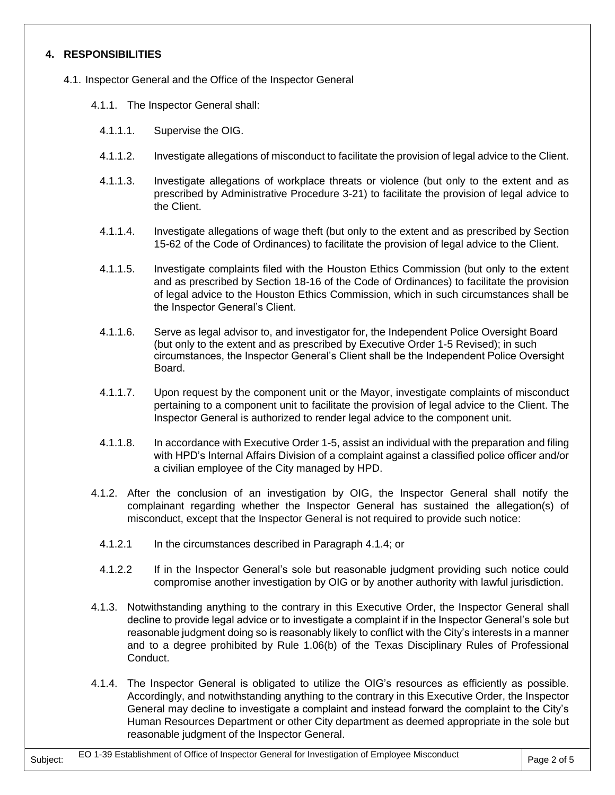## **4. RESPONSIBILITIES**

- 4.1. Inspector General and the Office of the Inspector General
	- 4.1.1. The Inspector General shall:
		- 4.1.1.1. Supervise the OIG.
		- 4.1.1.2. Investigate allegations of misconduct to facilitate the provision of legal advice to the Client.
		- 4.1.1.3. Investigate allegations of workplace threats or violence (but only to the extent and as prescribed by Administrative Procedure 3-21) to facilitate the provision of legal advice to the Client.
		- 4.1.1.4. Investigate allegations of wage theft (but only to the extent and as prescribed by Section 15-62 of the Code of Ordinances) to facilitate the provision of legal advice to the Client.
		- 4.1.1.5. Investigate complaints filed with the Houston Ethics Commission (but only to the extent and as prescribed by Section 18-16 of the Code of Ordinances) to facilitate the provision of legal advice to the Houston Ethics Commission, which in such circumstances shall be the Inspector General's Client.
		- 4.1.1.6. Serve as legal advisor to, and investigator for, the Independent Police Oversight Board (but only to the extent and as prescribed by Executive Order 1-5 Revised); in such circumstances, the Inspector General's Client shall be the Independent Police Oversight Board.
		- 4.1.1.7. Upon request by the component unit or the Mayor, investigate complaints of misconduct pertaining to a component unit to facilitate the provision of legal advice to the Client. The Inspector General is authorized to render legal advice to the component unit.
		- 4.1.1.8. In accordance with Executive Order 1-5, assist an individual with the preparation and filing with HPD's Internal Affairs Division of a complaint against a classified police officer and/or a civilian employee of the City managed by HPD.
	- 4.1.2. After the conclusion of an investigation by OIG, the Inspector General shall notify the complainant regarding whether the Inspector General has sustained the allegation(s) of misconduct, except that the Inspector General is not required to provide such notice:
		- 4.1.2.1 In the circumstances described in Paragraph 4.1.4; or
		- 4.1.2.2 If in the Inspector General's sole but reasonable judgment providing such notice could compromise another investigation by OIG or by another authority with lawful jurisdiction.
	- 4.1.3. Notwithstanding anything to the contrary in this Executive Order, the Inspector General shall decline to provide legal advice or to investigate a complaint if in the Inspector General's sole but reasonable judgment doing so is reasonably likely to conflict with the City's interests in a manner and to a degree prohibited by Rule 1.06(b) of the Texas Disciplinary Rules of Professional Conduct.
	- 4.1.4. The Inspector General is obligated to utilize the OIG's resources as efficiently as possible. Accordingly, and notwithstanding anything to the contrary in this Executive Order, the Inspector General may decline to investigate a complaint and instead forward the complaint to the City's Human Resources Department or other City department as deemed appropriate in the sole but reasonable judgment of the Inspector General.

Subject: EO 1-39 Establishment of Office of Inspector General for Investigation of Employee Misconduct Page 2 of 5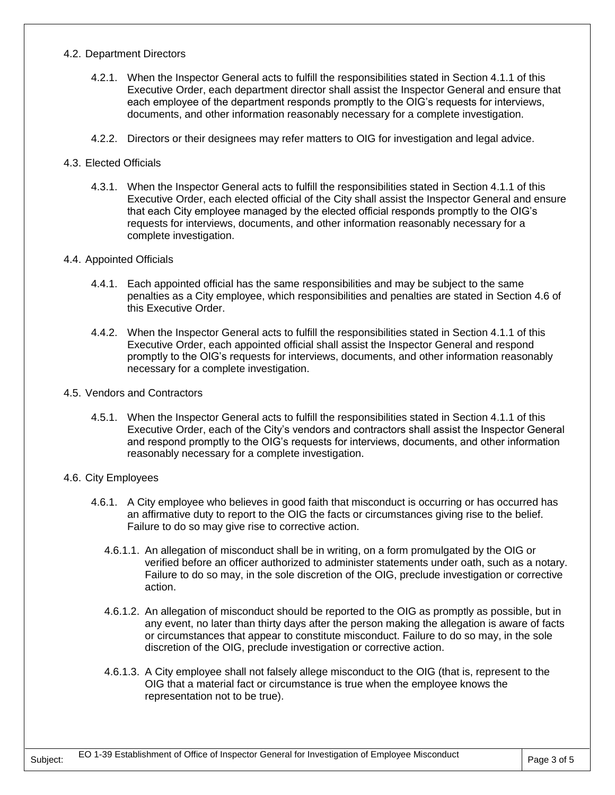#### 4.2. Department Directors

- 4.2.1. When the Inspector General acts to fulfill the responsibilities stated in Section 4.1.1 of this Executive Order, each department director shall assist the Inspector General and ensure that each employee of the department responds promptly to the OIG's requests for interviews, documents, and other information reasonably necessary for a complete investigation.
- 4.2.2. Directors or their designees may refer matters to OIG for investigation and legal advice.

#### 4.3. Elected Officials

4.3.1. When the Inspector General acts to fulfill the responsibilities stated in Section 4.1.1 of this Executive Order, each elected official of the City shall assist the Inspector General and ensure that each City employee managed by the elected official responds promptly to the OIG's requests for interviews, documents, and other information reasonably necessary for a complete investigation.

#### 4.4. Appointed Officials

- 4.4.1. Each appointed official has the same responsibilities and may be subject to the same penalties as a City employee, which responsibilities and penalties are stated in Section 4.6 of this Executive Order.
- 4.4.2. When the Inspector General acts to fulfill the responsibilities stated in Section 4.1.1 of this Executive Order, each appointed official shall assist the Inspector General and respond promptly to the OIG's requests for interviews, documents, and other information reasonably necessary for a complete investigation.
- 4.5. Vendors and Contractors
	- 4.5.1. When the Inspector General acts to fulfill the responsibilities stated in Section 4.1.1 of this Executive Order, each of the City's vendors and contractors shall assist the Inspector General and respond promptly to the OIG's requests for interviews, documents, and other information reasonably necessary for a complete investigation.

#### 4.6. City Employees

- 4.6.1. A City employee who believes in good faith that misconduct is occurring or has occurred has an affirmative duty to report to the OIG the facts or circumstances giving rise to the belief. Failure to do so may give rise to corrective action.
	- 4.6.1.1. An allegation of misconduct shall be in writing, on a form promulgated by the OIG or verified before an officer authorized to administer statements under oath, such as a notary. Failure to do so may, in the sole discretion of the OIG, preclude investigation or corrective action.
	- 4.6.1.2. An allegation of misconduct should be reported to the OIG as promptly as possible, but in any event, no later than thirty days after the person making the allegation is aware of facts or circumstances that appear to constitute misconduct. Failure to do so may, in the sole discretion of the OIG, preclude investigation or corrective action.
	- 4.6.1.3. A City employee shall not falsely allege misconduct to the OIG (that is, represent to the OIG that a material fact or circumstance is true when the employee knows the representation not to be true).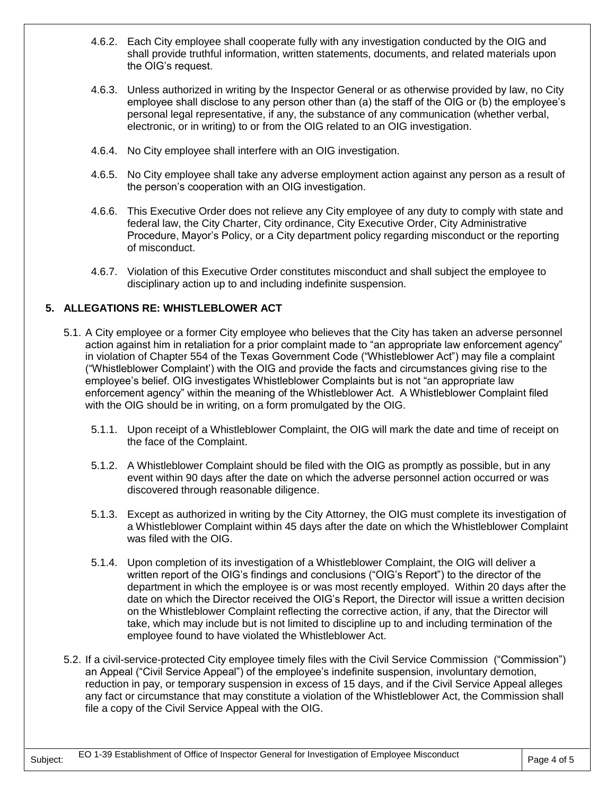- 4.6.2. Each City employee shall cooperate fully with any investigation conducted by the OIG and shall provide truthful information, written statements, documents, and related materials upon the OIG's request.
- 4.6.3. Unless authorized in writing by the Inspector General or as otherwise provided by law, no City employee shall disclose to any person other than (a) the staff of the OIG or (b) the employee's personal legal representative, if any, the substance of any communication (whether verbal, electronic, or in writing) to or from the OIG related to an OIG investigation.
- 4.6.4. No City employee shall interfere with an OIG investigation.
- 4.6.5. No City employee shall take any adverse employment action against any person as a result of the person's cooperation with an OIG investigation.
- 4.6.6. This Executive Order does not relieve any City employee of any duty to comply with state and federal law, the City Charter, City ordinance, City Executive Order, City Administrative Procedure, Mayor's Policy, or a City department policy regarding misconduct or the reporting of misconduct.
- 4.6.7. Violation of this Executive Order constitutes misconduct and shall subject the employee to disciplinary action up to and including indefinite suspension.

## **5. ALLEGATIONS RE: WHISTLEBLOWER ACT**

- 5.1. A City employee or a former City employee who believes that the City has taken an adverse personnel action against him in retaliation for a prior complaint made to "an appropriate law enforcement agency" in violation of Chapter 554 of the Texas Government Code ("Whistleblower Act") may file a complaint ("Whistleblower Complaint') with the OIG and provide the facts and circumstances giving rise to the employee's belief. OIG investigates Whistleblower Complaints but is not "an appropriate law enforcement agency" within the meaning of the Whistleblower Act. A Whistleblower Complaint filed with the OIG should be in writing, on a form promulgated by the OIG.
	- 5.1.1. Upon receipt of a Whistleblower Complaint, the OIG will mark the date and time of receipt on the face of the Complaint.
	- 5.1.2. A Whistleblower Complaint should be filed with the OIG as promptly as possible, but in any event within 90 days after the date on which the adverse personnel action occurred or was discovered through reasonable diligence.
	- 5.1.3. Except as authorized in writing by the City Attorney, the OIG must complete its investigation of a Whistleblower Complaint within 45 days after the date on which the Whistleblower Complaint was filed with the OIG.
	- 5.1.4. Upon completion of its investigation of a Whistleblower Complaint, the OIG will deliver a written report of the OIG's findings and conclusions ("OIG's Report") to the director of the department in which the employee is or was most recently employed. Within 20 days after the date on which the Director received the OIG's Report, the Director will issue a written decision on the Whistleblower Complaint reflecting the corrective action, if any, that the Director will take, which may include but is not limited to discipline up to and including termination of the employee found to have violated the Whistleblower Act.
- 5.2. If a civil-service-protected City employee timely files with the Civil Service Commission ("Commission") an Appeal ("Civil Service Appeal") of the employee's indefinite suspension, involuntary demotion, reduction in pay, or temporary suspension in excess of 15 days, and if the Civil Service Appeal alleges any fact or circumstance that may constitute a violation of the Whistleblower Act, the Commission shall file a copy of the Civil Service Appeal with the OIG.